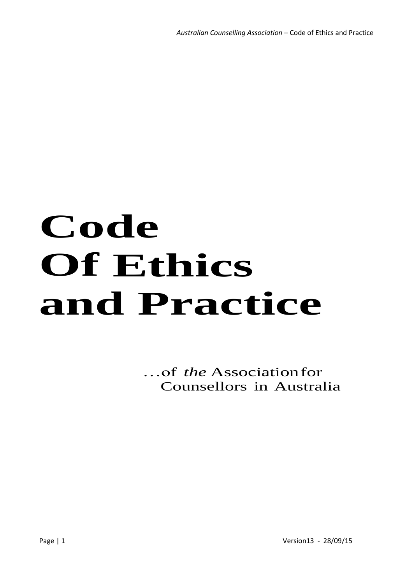# **Code Of Ethics and Practice**

…of *the* Associationfor Counsellors in Australia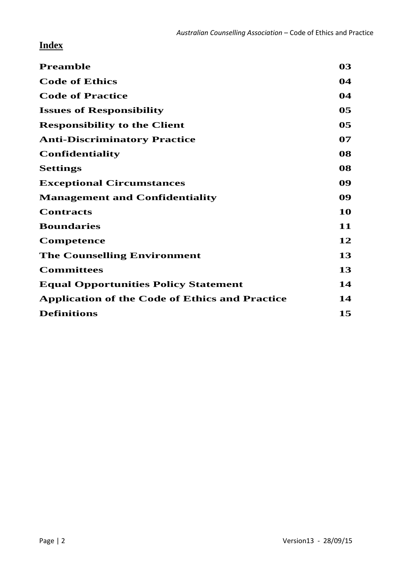# **Index**

| <b>Preamble</b>                                       | 03             |
|-------------------------------------------------------|----------------|
| <b>Code of Ethics</b>                                 | 04             |
| <b>Code of Practice</b>                               | 04             |
| <b>Issues of Responsibility</b>                       | 0 <sub>5</sub> |
| <b>Responsibility to the Client</b>                   | 0 <sub>5</sub> |
| <b>Anti-Discriminatory Practice</b>                   | 07             |
| <b>Confidentiality</b>                                | 08             |
| <b>Settings</b>                                       | 08             |
| <b>Exceptional Circumstances</b>                      | 09             |
| <b>Management and Confidentiality</b>                 | 09             |
| <b>Contracts</b>                                      | 10             |
| <b>Boundaries</b>                                     | 11             |
| <b>Competence</b>                                     | 12             |
| <b>The Counselling Environment</b>                    | 13             |
| <b>Committees</b>                                     | 13             |
| <b>Equal Opportunities Policy Statement</b>           | 14             |
| <b>Application of the Code of Ethics and Practice</b> | 14             |
| <b>Definitions</b>                                    | 15             |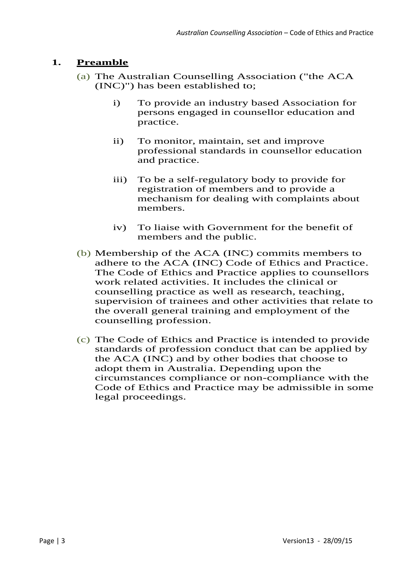# **1. Preamble**

- (a) The Australian Counselling Association ("the ACA (INC)") has been established to;
	- i) To provide an industry based Association for persons engaged in counsellor education and practice.
	- ii) To monitor, maintain, set and improve professional standards in counsellor education and practice.
	- iii) To be a self-regulatory body to provide for registration of members and to provide a mechanism for dealing with complaints about members.
	- iv) To liaise with Government for the benefit of members and the public.
- (b) Membership of the ACA (INC) commits members to adhere to the ACA (INC) Code of Ethics and Practice. The Code of Ethics and Practice applies to counsellors work related activities. It includes the clinical or counselling practice as well as research, teaching, supervision of trainees and other activities that relate to the overall general training and employment of the counselling profession.
- (c) The Code of Ethics and Practice is intended to provide standards of profession conduct that can be applied by the ACA (INC) and by other bodies that choose to adopt them in Australia. Depending upon the circumstances compliance or non-compliance with the Code of Ethics and Practice may be admissible in some legal proceedings.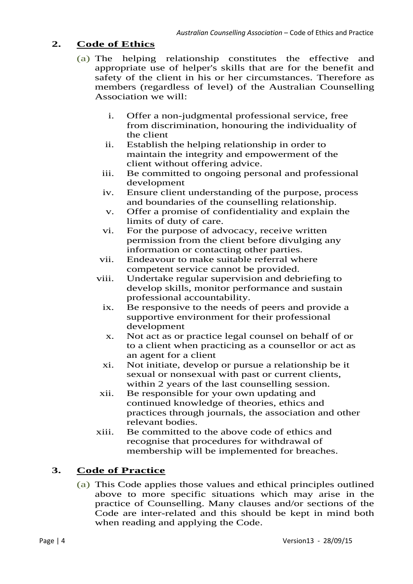### **2. Code of Ethics**

- (a) The helping relationship constitutes the effective and appropriate use of helper's skills that are for the benefit and safety of the client in his or her circumstances. Therefore as members (regardless of level) of the Australian Counselling Association we will:
	- i. Offer a non-judgmental professional service, free from discrimination, honouring the individuality of the client
	- ii. Establish the helping relationship in order to maintain the integrity and empowerment of the client without offering advice.
	- iii. Be committed to ongoing personal and professional development
	- iv. Ensure client understanding of the purpose, process and boundaries of the counselling relationship.
	- v. Offer a promise of confidentiality and explain the limits of duty of care.
	- vi. For the purpose of advocacy, receive written permission from the client before divulging any information or contacting other parties.
	- vii. Endeavour to make suitable referral where competent service cannot be provided.
	- viii. Undertake regular supervision and debriefing to develop skills, monitor performance and sustain professional accountability.
		- ix. Be responsive to the needs of peers and provide a supportive environment for their professional development
		- x. Not act as or practice legal counsel on behalf of or to a client when practicing as a counsellor or act as an agent for a client
		- xi. Not initiate, develop or pursue a relationship be it sexual or nonsexual with past or current clients, within 2 years of the last counselling session.
	- xii. Be responsible for your own updating and continued knowledge of theories, ethics and practices through journals, the association and other relevant bodies.
	- xiii. Be committed to the above code of ethics and recognise that procedures for withdrawal of membership will be implemented for breaches.

# **3. Code of Practice**

(a) This Code applies those values and ethical principles outlined above to more specific situations which may arise in the practice of Counselling. Many clauses and/or sections of the Code are inter-related and this should be kept in mind both when reading and applying the Code.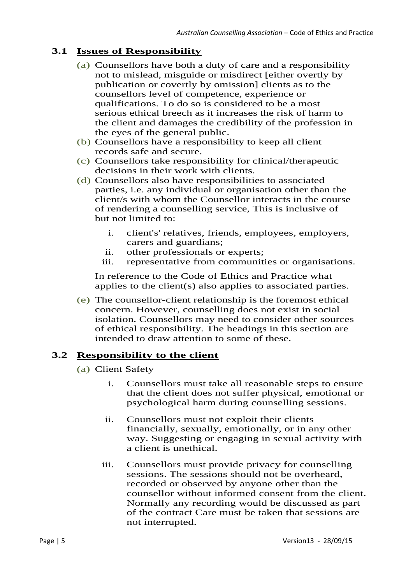# **3.1 Issues of Responsibility**

- (a) Counsellors have both a duty of care and a responsibility not to mislead, misguide or misdirect [either overtly by publication or covertly by omission] clients as to the counsellors level of competence, experience or qualifications. To do so is considered to be a most serious ethical breech as it increases the risk of harm to the client and damages the credibility of the profession in the eyes of the general public.
- (b) Counsellors have a responsibility to keep all client records safe and secure.
- (c) Counsellors take responsibility for clinical/therapeutic decisions in their work with clients.
- (d) Counsellors also have responsibilities to associated parties, i.e. any individual or organisation other than the client/s with whom the Counsellor interacts in the course of rendering a counselling service, This is inclusive of but not limited to:
	- i. client's' relatives, friends, employees, employers, carers and guardians;
	- ii. other professionals or experts;
	- iii. representative from communities or organisations.

In reference to the Code of Ethics and Practice what applies to the client(s) also applies to associated parties.

(e) The counsellor-client relationship is the foremost ethical concern. However, counselling does not exist in social isolation. Counsellors may need to consider other sources of ethical responsibility. The headings in this section are intended to draw attention to some of these.

# **3.2 Responsibility to the client**

- (a) Client Safety
	- i. Counsellors must take all reasonable steps to ensure that the client does not suffer physical, emotional or psychological harm during counselling sessions.
	- ii. Counsellors must not exploit their clients financially, sexually, emotionally, or in any other way. Suggesting or engaging in sexual activity with a client is unethical.
	- iii. Counsellors must provide privacy for counselling sessions. The sessions should not be overheard, recorded or observed by anyone other than the counsellor without informed consent from the client. Normally any recording would be discussed as part of the contract Care must be taken that sessions are not interrupted.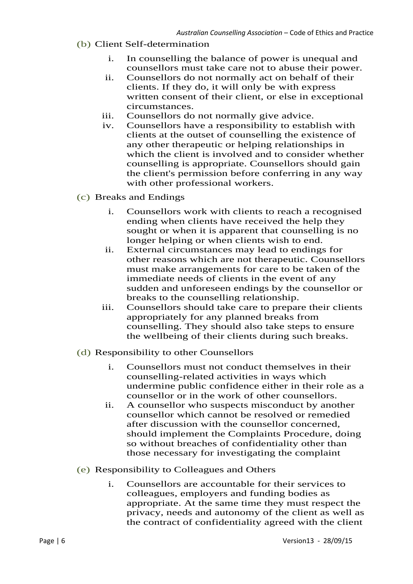- (b) Client Self-determination
	- i. In counselling the balance of power is unequal and counsellors must take care not to abuse their power.
	- ii. Counsellors do not normally act on behalf of their clients. If they do, it will only be with express written consent of their client, or else in exceptional circumstances.
	- iii. Counsellors do not normally give advice.
	- iv. Counsellors have a responsibility to establish with clients at the outset of counselling the existence of any other therapeutic or helping relationships in which the client is involved and to consider whether counselling is appropriate. Counsellors should gain the client's permission before conferring in any way with other professional workers.
- (c) Breaks and Endings
	- i. Counsellors work with clients to reach a recognised ending when clients have received the help they sought or when it is apparent that counselling is no longer helping or when clients wish to end.
	- ii. External circumstances may lead to endings for other reasons which are not therapeutic. Counsellors must make arrangements for care to be taken of the immediate needs of clients in the event of any sudden and unforeseen endings by the counsellor or breaks to the counselling relationship.
	- iii. Counsellors should take care to prepare their clients appropriately for any planned breaks from counselling. They should also take steps to ensure the wellbeing of their clients during such breaks.
- (d) Responsibility to other Counsellors
	- i. Counsellors must not conduct themselves in their counselling-related activities in ways which undermine public confidence either in their role as a counsellor or in the work of other counsellors.
	- ii. A counsellor who suspects misconduct by another counsellor which cannot be resolved or remedied after discussion with the counsellor concerned, should implement the Complaints Procedure, doing so without breaches of confidentiality other than those necessary for investigating the complaint
- (e) Responsibility to Colleagues and Others
	- i. Counsellors are accountable for their services to colleagues, employers and funding bodies as appropriate. At the same time they must respect the privacy, needs and autonomy of the client as well as the contract of confidentiality agreed with the client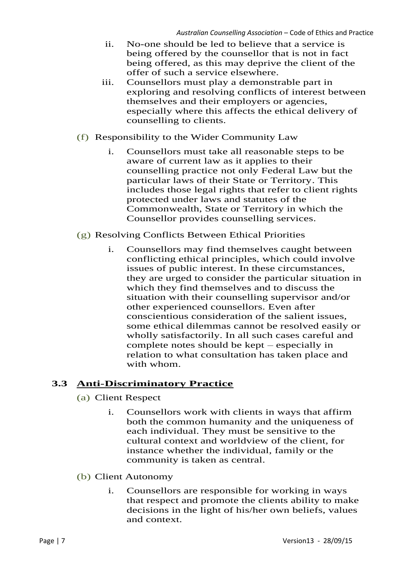- ii. No-one should be led to believe that a service is being offered by the counsellor that is not in fact being offered, as this may deprive the client of the offer of such a service elsewhere.
- iii. Counsellors must play a demonstrable part in exploring and resolving conflicts of interest between themselves and their employers or agencies, especially where this affects the ethical delivery of counselling to clients.
- (f) Responsibility to the Wider Community Law
	- i. Counsellors must take all reasonable steps to be aware of current law as it applies to their counselling practice not only Federal Law but the particular laws of their State or Territory. This includes those legal rights that refer to client rights protected under laws and statutes of the Commonwealth, State or Territory in which the Counsellor provides counselling services.
- (g) Resolving Conflicts Between Ethical Priorities
	- i. Counsellors may find themselves caught between conflicting ethical principles, which could involve issues of public interest. In these circumstances, they are urged to consider the particular situation in which they find themselves and to discuss the situation with their counselling supervisor and/or other experienced counsellors. Even after conscientious consideration of the salient issues, some ethical dilemmas cannot be resolved easily or wholly satisfactorily. In all such cases careful and complete notes should be kept – especially in relation to what consultation has taken place and with whom.

#### **3.3 Anti-Discriminatory Practice**

- (a) Client Respect
	- i. Counsellors work with clients in ways that affirm both the common humanity and the uniqueness of each individual. They must be sensitive to the cultural context and worldview of the client, for instance whether the individual, family or the community is taken as central.
- (b) Client Autonomy
	- i. Counsellors are responsible for working in ways that respect and promote the clients ability to make decisions in the light of his/her own beliefs, values and context.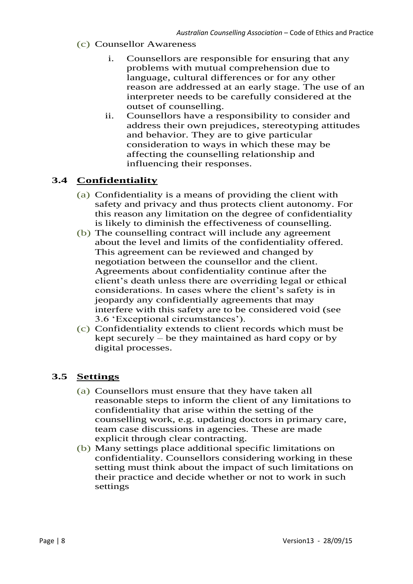- (c) Counsellor Awareness
	- i. Counsellors are responsible for ensuring that any problems with mutual comprehension due to language, cultural differences or for any other reason are addressed at an early stage. The use of an interpreter needs to be carefully considered at the outset of counselling.
	- ii. Counsellors have a responsibility to consider and address their own prejudices, stereotyping attitudes and behavior. They are to give particular consideration to ways in which these may be affecting the counselling relationship and influencing their responses.

#### **3.4 Confidentiality**

- (a) Confidentiality is a means of providing the client with safety and privacy and thus protects client autonomy. For this reason any limitation on the degree of confidentiality is likely to diminish the effectiveness of counselling.
- (b) The counselling contract will include any agreement about the level and limits of the confidentiality offered. This agreement can be reviewed and changed by negotiation between the counsellor and the client. Agreements about confidentiality continue after the client's death unless there are overriding legal or ethical considerations. In cases where the client's safety is in jeopardy any confidentially agreements that may interfere with this safety are to be considered void (see 3.6 'Exceptional circumstances').
- (c) Confidentiality extends to client records which must be kept securely – be they maintained as hard copy or by digital processes.

#### **3.5 Settings**

- (a) Counsellors must ensure that they have taken all reasonable steps to inform the client of any limitations to confidentiality that arise within the setting of the counselling work, e.g. updating doctors in primary care, team case discussions in agencies. These are made explicit through clear contracting.
- (b) Many settings place additional specific limitations on confidentiality. Counsellors considering working in these setting must think about the impact of such limitations on their practice and decide whether or not to work in such settings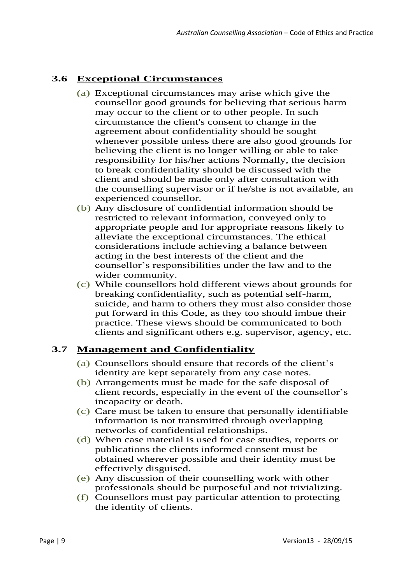# **3.6 Exceptional Circumstances**

- (a) Exceptional circumstances may arise which give the counsellor good grounds for believing that serious harm may occur to the client or to other people. In such circumstance the client's consent to change in the agreement about confidentiality should be sought whenever possible unless there are also good grounds for believing the client is no longer willing or able to take responsibility for his/her actions Normally, the decision to break confidentiality should be discussed with the client and should be made only after consultation with the counselling supervisor or if he/she is not available, an experienced counsellor.
- (b) Any disclosure of confidential information should be restricted to relevant information, conveyed only to appropriate people and for appropriate reasons likely to alleviate the exceptional circumstances. The ethical considerations include achieving a balance between acting in the best interests of the client and the counsellor's responsibilities under the law and to the wider community.
- (c) While counsellors hold different views about grounds for breaking confidentiality, such as potential self-harm, suicide, and harm to others they must also consider those put forward in this Code, as they too should imbue their practice. These views should be communicated to both clients and significant others e.g. supervisor, agency, etc.

# **3.7 Management and Confidentiality**

- (a) Counsellors should ensure that records of the client's identity are kept separately from any case notes.
- (b) Arrangements must be made for the safe disposal of client records, especially in the event of the counsellor's incapacity or death.
- (c) Care must be taken to ensure that personally identifiable information is not transmitted through overlapping networks of confidential relationships.
- (d) When case material is used for case studies, reports or publications the clients informed consent must be obtained wherever possible and their identity must be effectively disguised.
- (e) Any discussion of their counselling work with other professionals should be purposeful and not trivializing.
- (f) Counsellors must pay particular attention to protecting the identity of clients.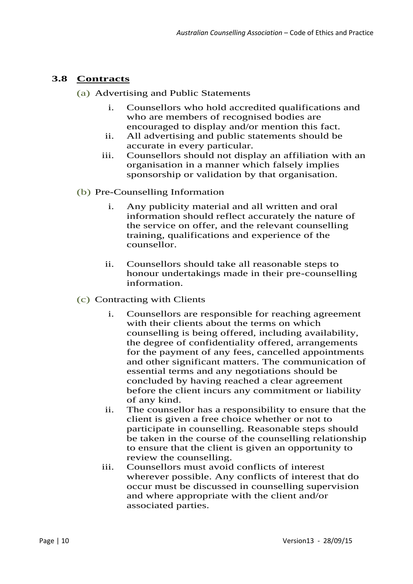# **3.8 Contracts**

- (a) Advertising and Public Statements
	- i. Counsellors who hold accredited qualifications and who are members of recognised bodies are encouraged to display and/or mention this fact.
	- ii. All advertising and public statements should be accurate in every particular.
	- iii. Counsellors should not display an affiliation with an organisation in a manner which falsely implies sponsorship or validation by that organisation.
- (b) Pre-Counselling Information
	- i. Any publicity material and all written and oral information should reflect accurately the nature of the service on offer, and the relevant counselling training, qualifications and experience of the counsellor.
	- ii. Counsellors should take all reasonable steps to honour undertakings made in their pre-counselling information.
- (c) Contracting with Clients
	- i. Counsellors are responsible for reaching agreement with their clients about the terms on which counselling is being offered, including availability, the degree of confidentiality offered, arrangements for the payment of any fees, cancelled appointments and other significant matters. The communication of essential terms and any negotiations should be concluded by having reached a clear agreement before the client incurs any commitment or liability of any kind.
	- ii. The counsellor has a responsibility to ensure that the client is given a free choice whether or not to participate in counselling. Reasonable steps should be taken in the course of the counselling relationship to ensure that the client is given an opportunity to review the counselling.
	- iii. Counsellors must avoid conflicts of interest wherever possible. Any conflicts of interest that do occur must be discussed in counselling supervision and where appropriate with the client and/or associated parties.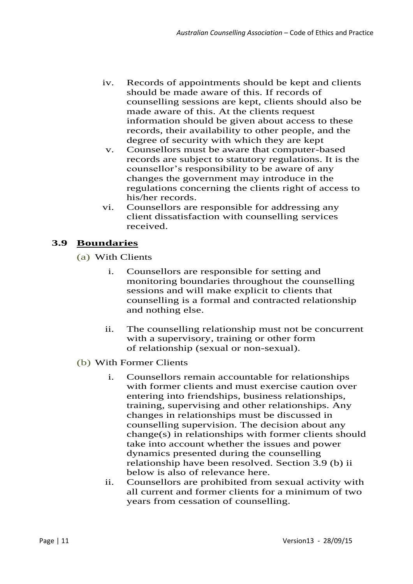- iv. Records of appointments should be kept and clients should be made aware of this. If records of counselling sessions are kept, clients should also be made aware of this. At the clients request information should be given about access to these records, their availability to other people, and the degree of security with which they are kept
- v. Counsellors must be aware that computer-based records are subject to statutory regulations. It is the counsellor's responsibility to be aware of any changes the government may introduce in the regulations concerning the clients right of access to his/her records.
- vi. Counsellors are responsible for addressing any client dissatisfaction with counselling services received.

# **3.9 Boundaries**

- (a) With Clients
	- i. Counsellors are responsible for setting and monitoring boundaries throughout the counselling sessions and will make explicit to clients that counselling is a formal and contracted relationship and nothing else.
	- ii. The counselling relationship must not be concurrent with a supervisory, training or other form of relationship (sexual or non-sexual).
- (b) With Former Clients
	- i. Counsellors remain accountable for relationships with former clients and must exercise caution over entering into friendships, business relationships, training, supervising and other relationships. Any changes in relationships must be discussed in counselling supervision. The decision about any change(s) in relationships with former clients should take into account whether the issues and power dynamics presented during the counselling relationship have been resolved. Section 3.9 (b) ii below is also of relevance here.
	- ii. Counsellors are prohibited from sexual activity with all current and former clients for a minimum of two years from cessation of counselling.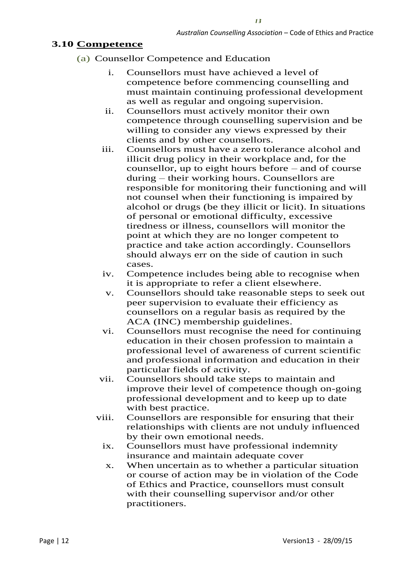$13$ 

#### **3.10 Competence**

- (a) Counsellor Competence and Education
	- i. Counsellors must have achieved a level of competence before commencing counselling and must maintain continuing professional development as well as regular and ongoing supervision.
	- ii. Counsellors must actively monitor their own competence through counselling supervision and be willing to consider any views expressed by their clients and by other counsellors.
	- iii. Counsellors must have a zero tolerance alcohol and illicit drug policy in their workplace and, for the counsellor, up to eight hours before – and of course during – their working hours. Counsellors are responsible for monitoring their functioning and will not counsel when their functioning is impaired by alcohol or drugs (be they illicit or licit). In situations of personal or emotional difficulty, excessive tiredness or illness, counsellors will monitor the point at which they are no longer competent to practice and take action accordingly. Counsellors should always err on the side of caution in such cases.
	- iv. Competence includes being able to recognise when it is appropriate to refer a client elsewhere.
	- v. Counsellors should take reasonable steps to seek out peer supervision to evaluate their efficiency as counsellors on a regular basis as required by the ACA (INC) membership guidelines.
	- vi. Counsellors must recognise the need for continuing education in their chosen profession to maintain a professional level of awareness of current scientific and professional information and education in their particular fields of activity.
	- vii. Counsellors should take steps to maintain and improve their level of competence though on-going professional development and to keep up to date with best practice.
	- viii. Counsellors are responsible for ensuring that their relationships with clients are not unduly influenced by their own emotional needs.
		- ix. Counsellors must have professional indemnity insurance and maintain adequate cover
		- x. When uncertain as to whether a particular situation or course of action may be in violation of the Code of Ethics and Practice, counsellors must consult with their counselling supervisor and/or other practitioners.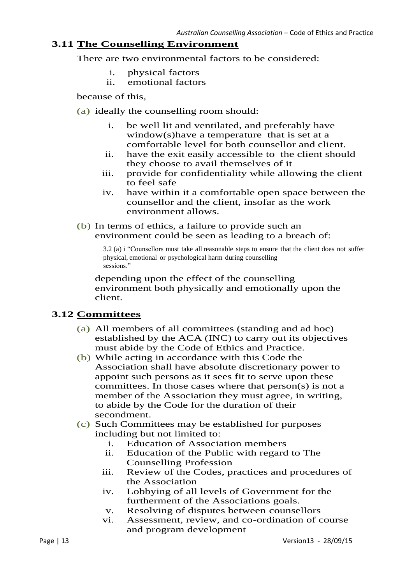#### **3.11 The Counselling Environment**

There are two environmental factors to be considered:

- i. physical factors
- ii. emotional factors

because of this,

- (a) ideally the counselling room should:
	- i. be well lit and ventilated, and preferably have window(s)have a temperature that is set at a comfortable level for both counsellor and client.
	- ii. have the exit easily accessible to the client should they choose to avail themselves of it
	- iii. provide for confidentiality while allowing the client to feel safe
	- iv. have within it a comfortable open space between the counsellor and the client, insofar as the work environment allows.
- (b) In terms of ethics, a failure to provide such an environment could be seen as leading to a breach of:

3.2 (a) i "Counsellors must take all reasonable steps to ensure that the client does not suffer physical, emotional or psychological harm during counselling sessions."

depending upon the effect of the counselling environment both physically and emotionally upon the client.

#### **3.12 Committees**

- (a) All members of all committees (standing and ad hoc) established by the ACA (INC) to carry out its objectives must abide by the Code of Ethics and Practice.
- (b) While acting in accordance with this Code the Association shall have absolute discretionary power to appoint such persons as it sees fit to serve upon these committees. In those cases where that person(s) is not a member of the Association they must agree, in writing, to abide by the Code for the duration of their secondment.
- (c) Such Committees may be established for purposes including but not limited to:
	- i. Education of Association members
	- ii. Education of the Public with regard to The Counselling Profession
	- iii. Review of the Codes, practices and procedures of the Association
	- iv. Lobbying of all levels of Government for the furtherment of the Associations goals.
	- v. Resolving of disputes between counsellors
	- vi. Assessment, review, and co-ordination of course and program development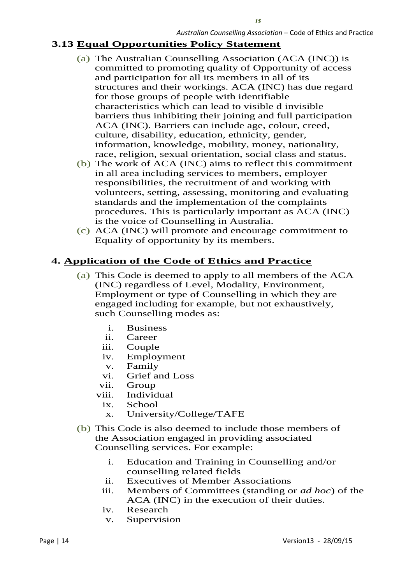#### **3.13 Equal Opportunities Policy Statement**

- (a) The Australian Counselling Association (ACA (INC)) is committed to promoting quality of Opportunity of access and participation for all its members in all of its structures and their workings. ACA (INC) has due regard for those groups of people with identifiable characteristics which can lead to visible d invisible barriers thus inhibiting their joining and full participation ACA (INC). Barriers can include age, colour, creed, culture, disability, education, ethnicity, gender, information, knowledge, mobility, money, nationality, race, religion, sexual orientation, social class and status.
- (b) The work of ACA (INC) aims to reflect this commitment in all area including services to members, employer responsibilities, the recruitment of and working with volunteers, setting, assessing, monitoring and evaluating standards and the implementation of the complaints procedures. This is particularly important as ACA (INC) is the voice of Counselling in Australia.
- (c) ACA (INC) will promote and encourage commitment to Equality of opportunity by its members.

#### **4. Application of the Code of Ethics and Practice**

- (a) This Code is deemed to apply to all members of the ACA (INC) regardless of Level, Modality, Environment, Employment or type of Counselling in which they are engaged including for example, but not exhaustively, such Counselling modes as:
	- i. Business
	- ii. Career
	- iii. Couple
	- iv. Employment
	- v. Family
	- vi. Grief and Loss
	- vii. Group
	- viii. Individual
		- ix. School
		- x. University/College/TAFE
- (b) This Code is also deemed to include those members of the Association engaged in providing associated Counselling services. For example:
	- i. Education and Training in Counselling and/or counselling related fields
	- ii. Executives of Member Associations
	- iii. Members of Committees (standing or *ad hoc*) of the ACA (INC) in the execution of their duties.
	- iv. Research
	- v. Supervision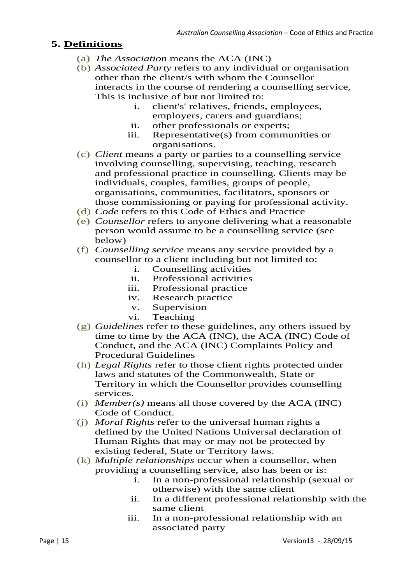### **5. Definitions**

- (a) *The Association* means the ACA (INC)
- (b) *Associated Party* refers to any individual or organisation other than the client/s with whom the Counsellor interacts in the course of rendering a counselling service, This is inclusive of but not limited to:
	- i. client's' relatives, friends, employees, employers, carers and guardians;
	- ii. other professionals or experts;
	- iii. Representative(s) from communities or organisations.
- (c) *Client* means a party or parties to a counselling service involving counselling, supervising, teaching, research and professional practice in counselling. Clients may be individuals, couples, families, groups of people, organisations, communities, facilitators, sponsors or those commissioning or paying for professional activity.
- (d) *Code* refers to this Code of Ethics and Practice
- (e) *Counsellor* refers to anyone delivering what a reasonable person would assume to be a counselling service (see below)
- (f) *Counselling service* means any service provided by a counsellor to a client including but not limited to:<br>i. Counselling activities
	- Counselling activities
	- ii. Professional activities
	- iii. Professional practice
	- iv. Research practice
	- v. Supervision
	- vi. Teaching
- (g) *Guidelines* refer to these guidelines, any others issued by time to time by the ACA (INC), the ACA (INC) Code of Conduct, and the ACA (INC) Complaints Policy and Procedural Guidelines
- (h) *Legal Rights* refer to those client rights protected under laws and statutes of the Commonwealth, State or Territory in which the Counsellor provides counselling services.
- (i) *Member(s)* means all those covered by the ACA (INC) Code of Conduct.
- (j) *Moral Rights* refer to the universal human rights a defined by the United Nations Universal declaration of Human Rights that may or may not be protected by existing federal, State or Territory laws.
- (k) *Multiple relationships* occur when a counsellor, when providing a counselling service, also has been or is:
	- i. In a non-professional relationship (sexual or otherwise) with the same client
	- ii. In a different professional relationship with the same client
	- iii. In a non-professional relationship with an associated party